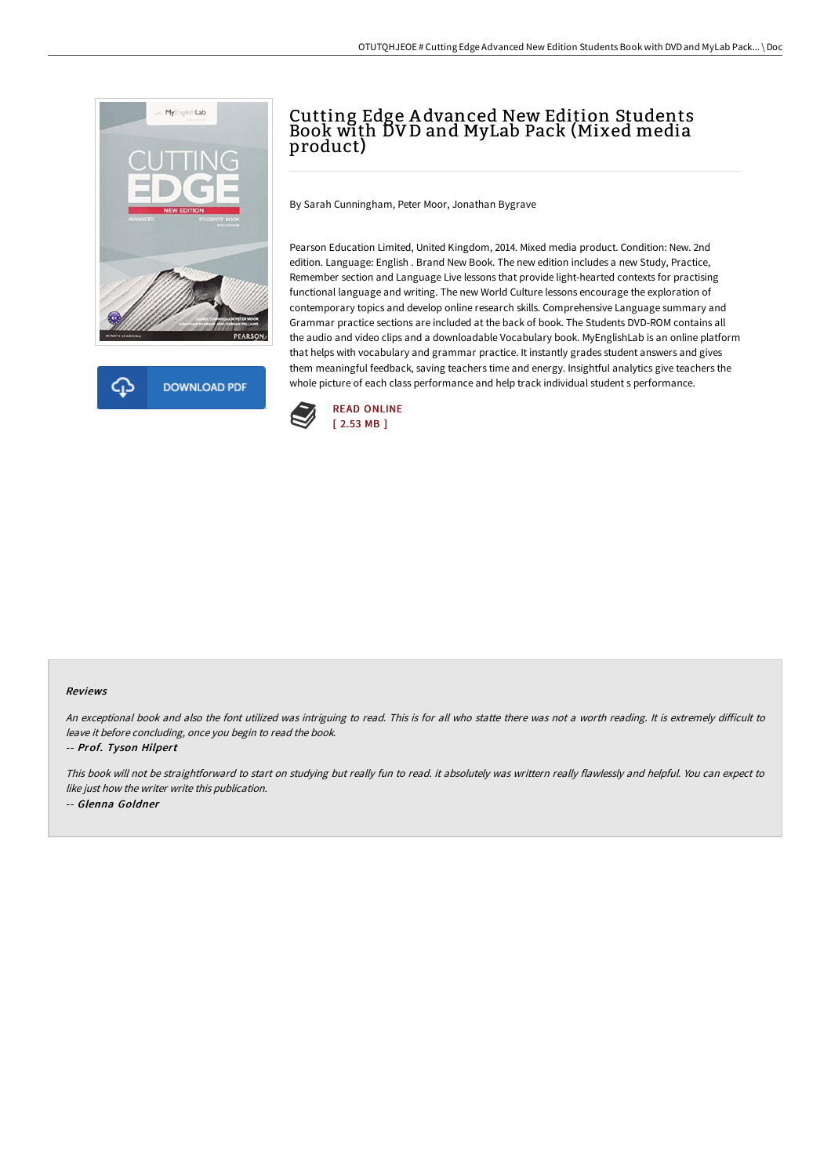



## Cutting Edge A dvanced New Edition Students Book with DV D and MyLab Pack (Mixed media product)

By Sarah Cunningham, Peter Moor, Jonathan Bygrave

Pearson Education Limited, United Kingdom, 2014. Mixed media product. Condition: New. 2nd edition. Language: English . Brand New Book. The new edition includes a new Study, Practice, Remember section and Language Live lessons that provide light-hearted contexts for practising functional language and writing. The new World Culture lessons encourage the exploration of contemporary topics and develop online research skills. Comprehensive Language summary and Grammar practice sections are included at the back of book. The Students DVD-ROM contains all the audio and video clips and a downloadable Vocabulary book. MyEnglishLab is an online platform that helps with vocabulary and grammar practice. It instantly grades student answers and gives them meaningful feedback, saving teachers time and energy. Insightful analytics give teachers the whole picture of each class performance and help track individual student s performance.



## Reviews

An exceptional book and also the font utilized was intriguing to read. This is for all who statte there was not a worth reading. It is extremely difficult to leave it before concluding, once you begin to read the book.

-- Prof. Tyson Hilpert

This book will not be straightforward to start on studying but really fun to read. it absolutely was writtern really flawlessly and helpful. You can expect to like just how the writer write this publication. -- Glenna Goldner